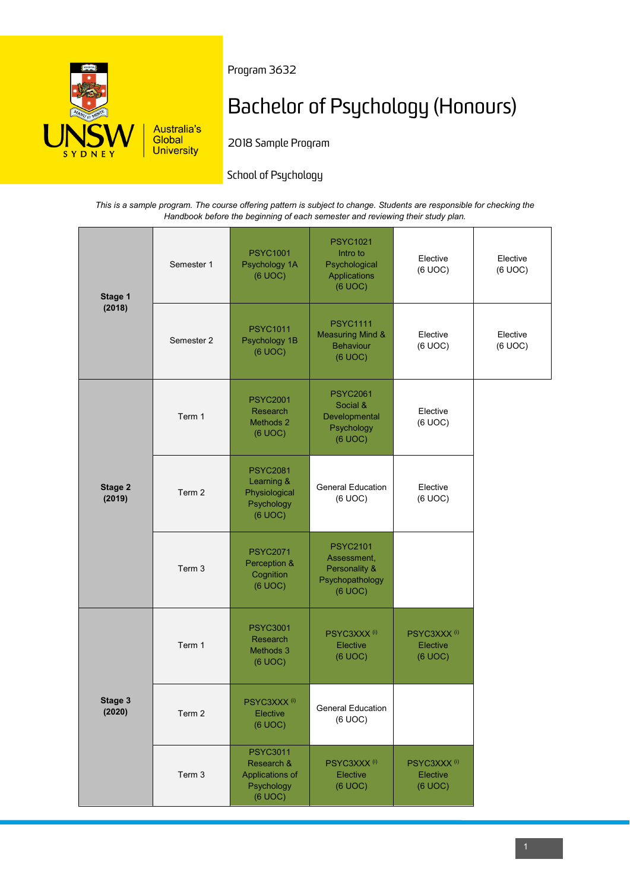

Program 3632

# Bachelor of Psychology (Honours)

2018 Sample Program

## School of Psychology

*This is a sample program. The course offering pattern is subject to change. Students are responsible for checking the Handbook before the beginning of each semester and reviewing their study plan.*

| Stage 1<br>(2018) | Semester 1 | <b>PSYC1001</b><br>Psychology 1A<br>(6 UOC)                               | <b>PSYC1021</b><br>Intro to<br>Psychological<br>Applications<br>(6 UOC)       | Elective<br>(6 UOC)                            | Elective<br>(6 UOC) |
|-------------------|------------|---------------------------------------------------------------------------|-------------------------------------------------------------------------------|------------------------------------------------|---------------------|
|                   | Semester 2 | <b>PSYC1011</b><br>Psychology 1B<br>(6 UOC)                               | <b>PSYC1111</b><br><b>Measuring Mind &amp;</b><br><b>Behaviour</b><br>(6 UOC) | Elective<br>(6 UOC)                            | Elective<br>(6 UOC) |
| Stage 2<br>(2019) | Term 1     | <b>PSYC2001</b><br>Research<br>Methods 2<br>(6 UOC)                       | <b>PSYC2061</b><br>Social &<br>Developmental<br>Psychology<br>(6 UOC)         | Elective<br>(6 UOC)                            |                     |
|                   | Term 2     | <b>PSYC2081</b><br>Learning &<br>Physiological<br>Psychology<br>(6 UOC)   | <b>General Education</b><br>(6 UOC)                                           | Elective<br>(6 UOC)                            |                     |
|                   | Term 3     | <b>PSYC2071</b><br>Perception &<br>Cognition<br>(6 UOC)                   | <b>PSYC2101</b><br>Assessment,<br>Personality &<br>Psychopathology<br>(6 UOC) |                                                |                     |
| Stage 3<br>(2020) | Term 1     | <b>PSYC3001</b><br>Research<br>Methods 3<br>(6 UOC)                       | PSYC3XXX <sup>(i)</sup><br>Elective<br>(6 UOC)                                | PSYC3XXX <sup>(i)</sup><br>Elective<br>(6 UOC) |                     |
|                   | Term 2     | PSYC3XXX <sup>(i)</sup><br>Elective<br>(6 UOC)                            | <b>General Education</b><br>(6 UOC)                                           |                                                |                     |
|                   | Term 3     | <b>PSYC3011</b><br>Research &<br>Applications of<br>Psychology<br>(6 UOC) | PSYC3XXX <sup>(i)</sup><br>Elective<br>(6 UOC)                                | PSYC3XXX <sup>(i)</sup><br>Elective<br>(6 UOC) |                     |